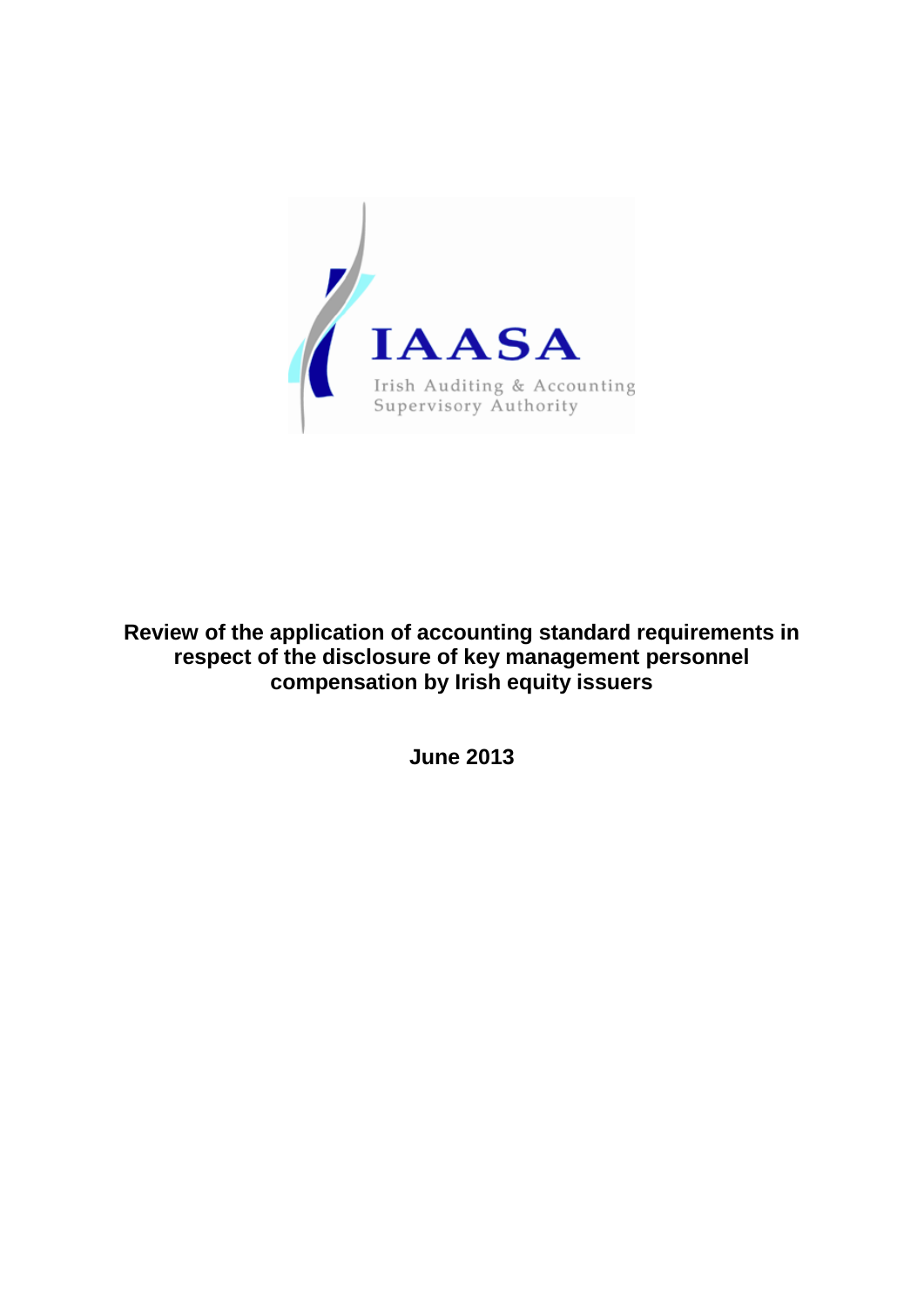

**Review of the application of accounting standard requirements in respect of the disclosure of key management personnel compensation by Irish equity issuers**

**June 2013**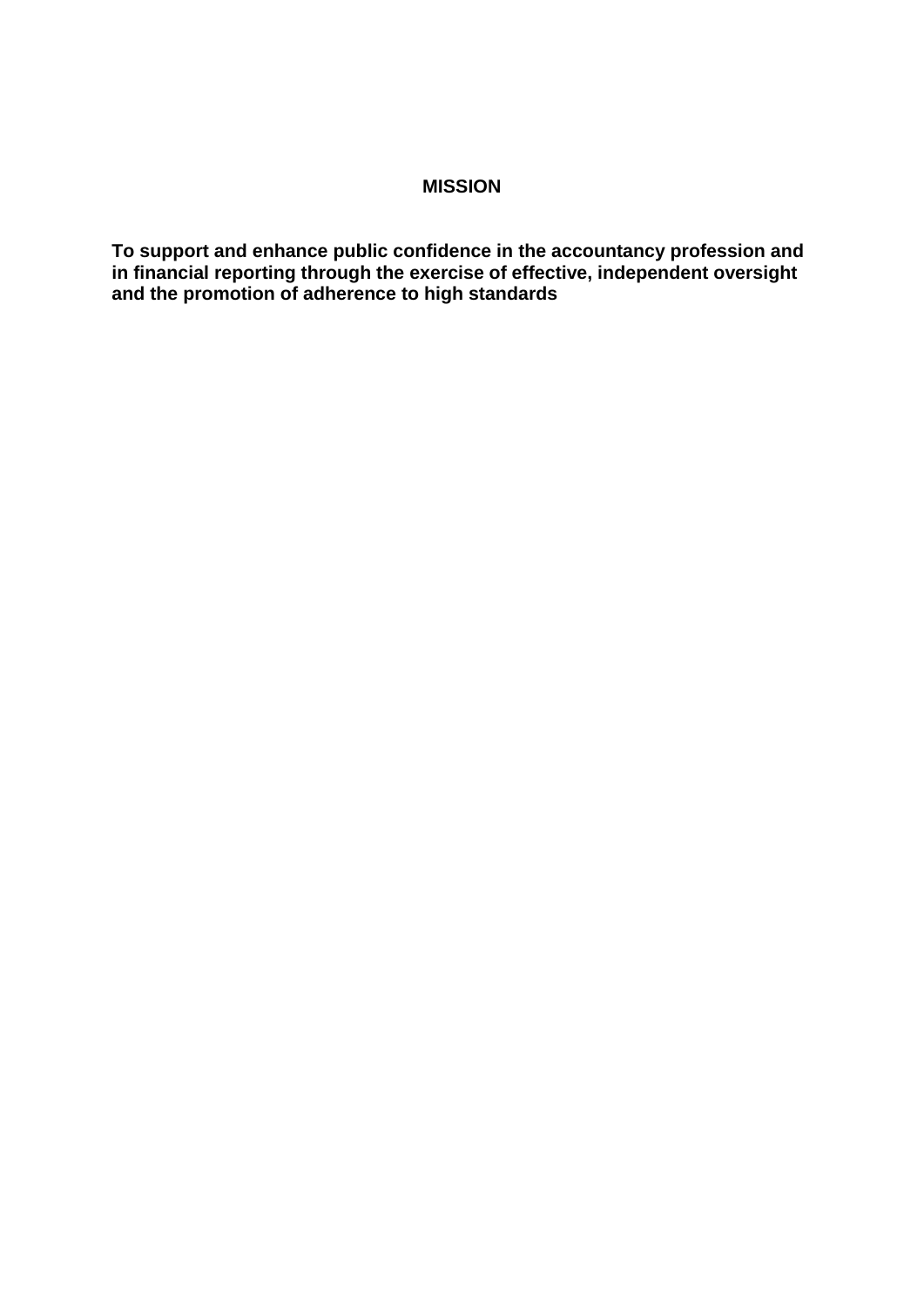# **MISSION**

**To support and enhance public confidence in the accountancy profession and in financial reporting through the exercise of effective, independent oversight and the promotion of adherence to high standards**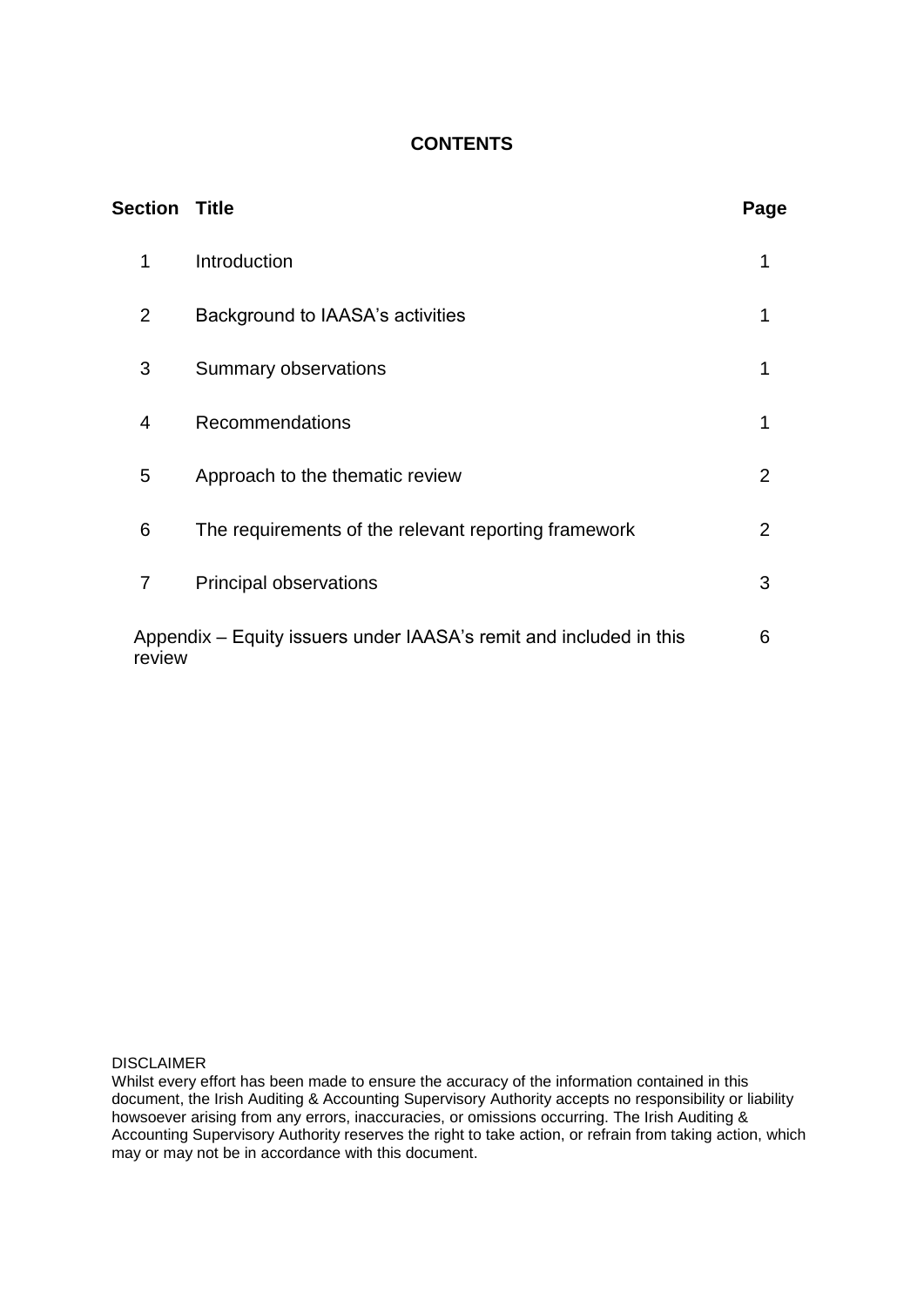# **CONTENTS**

| <b>Section Title</b>                                                         |                                                      | Page           |
|------------------------------------------------------------------------------|------------------------------------------------------|----------------|
| 1                                                                            | Introduction                                         | 1              |
| $\overline{2}$                                                               | Background to IAASA's activities                     |                |
| 3                                                                            | Summary observations                                 | 1              |
| 4                                                                            | <b>Recommendations</b>                               | 1              |
| 5                                                                            | Approach to the thematic review                      | $\overline{2}$ |
| 6                                                                            | The requirements of the relevant reporting framework | $\overline{2}$ |
| $\overline{7}$                                                               | Principal observations                               | 3              |
| Appendix – Equity issuers under IAASA's remit and included in this<br>review |                                                      | 6              |

DISCLAIMER

Whilst every effort has been made to ensure the accuracy of the information contained in this document, the Irish Auditing & Accounting Supervisory Authority accepts no responsibility or liability howsoever arising from any errors, inaccuracies, or omissions occurring. The Irish Auditing & Accounting Supervisory Authority reserves the right to take action, or refrain from taking action, which may or may not be in accordance with this document.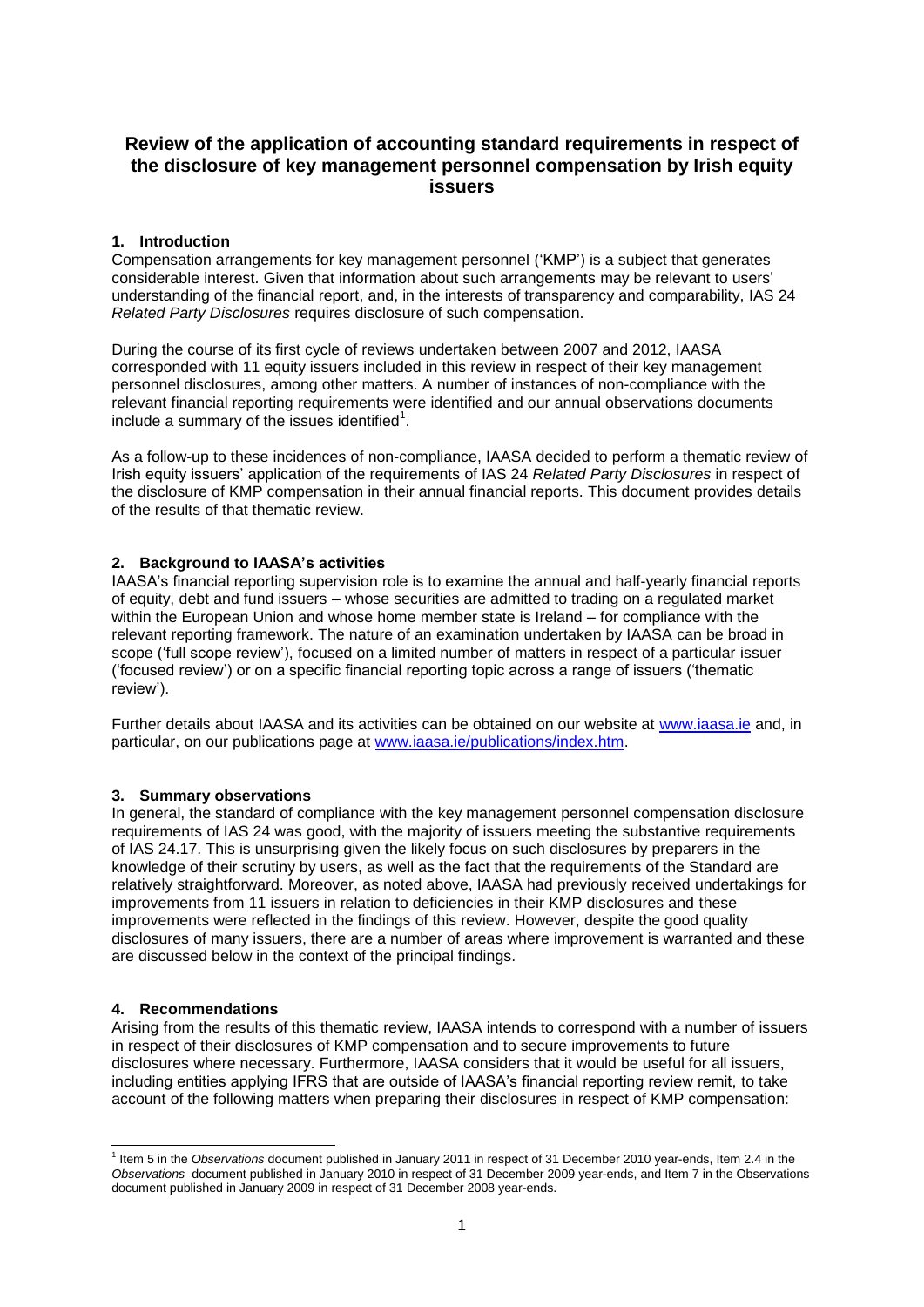# **Review of the application of accounting standard requirements in respect of the disclosure of key management personnel compensation by Irish equity issuers**

# **1. Introduction**

Compensation arrangements for key management personnel ('KMP') is a subject that generates considerable interest. Given that information about such arrangements may be relevant to users' understanding of the financial report, and, in the interests of transparency and comparability, IAS 24 *Related Party Disclosures* requires disclosure of such compensation.

During the course of its first cycle of reviews undertaken between 2007 and 2012, IAASA corresponded with 11 equity issuers included in this review in respect of their key management personnel disclosures, among other matters. A number of instances of non-compliance with the relevant financial reporting requirements were identified and our annual observations documents include a summary of the issues identified $1$ .

As a follow-up to these incidences of non-compliance, IAASA decided to perform a thematic review of Irish equity issuers' application of the requirements of IAS 24 *Related Party Disclosures* in respect of the disclosure of KMP compensation in their annual financial reports. This document provides details of the results of that thematic review.

# **2. Background to IAASA's activities**

IAASA's financial reporting supervision role is to examine the annual and half-yearly financial reports of equity, debt and fund issuers – whose securities are admitted to trading on a regulated market within the European Union and whose home member state is Ireland – for compliance with the relevant reporting framework. The nature of an examination undertaken by IAASA can be broad in scope ('full scope review'), focused on a limited number of matters in respect of a particular issuer ('focused review') or on a specific financial reporting topic across a range of issuers ('thematic review').

Further details about IAASA and its activities can be obtained on our website at [www.iaasa.ie](http://www.iaasa.ie/) and, in particular, on our publications page at [www.iaasa.ie/publications/index.htm.](http://www.iaasa.ie/publications/index.htm)

# **3. Summary observations**

In general, the standard of compliance with the key management personnel compensation disclosure requirements of IAS 24 was good, with the majority of issuers meeting the substantive requirements of IAS 24.17. This is unsurprising given the likely focus on such disclosures by preparers in the knowledge of their scrutiny by users, as well as the fact that the requirements of the Standard are relatively straightforward. Moreover, as noted above, IAASA had previously received undertakings for improvements from 11 issuers in relation to deficiencies in their KMP disclosures and these improvements were reflected in the findings of this review. However, despite the good quality disclosures of many issuers, there are a number of areas where improvement is warranted and these are discussed below in the context of the principal findings.

# **4. Recommendations**

Arising from the results of this thematic review, IAASA intends to correspond with a number of issuers in respect of their disclosures of KMP compensation and to secure improvements to future disclosures where necessary. Furthermore, IAASA considers that it would be useful for all issuers, including entities applying IFRS that are outside of IAASA's financial reporting review remit, to take account of the following matters when preparing their disclosures in respect of KMP compensation:

<sup>1</sup> 1 Item 5 in the *Observations* document published in January 2011 in respect of 31 December 2010 year-ends, Item 2.4 in the *Observations* document published in January 2010 in respect of 31 December 2009 year-ends, and Item 7 in the Observations document published in January 2009 in respect of 31 December 2008 year-ends.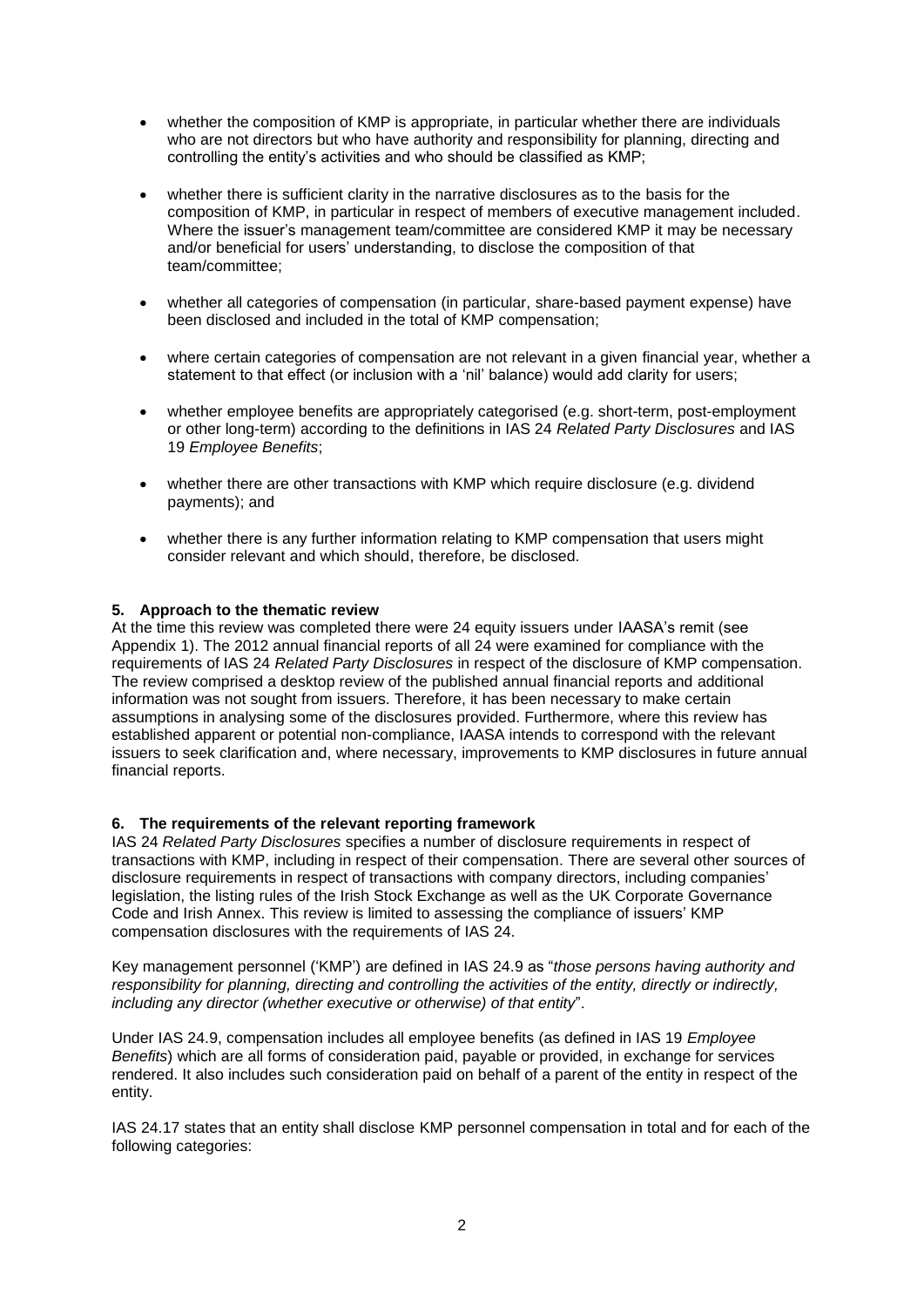- whether the composition of KMP is appropriate, in particular whether there are individuals who are not directors but who have authority and responsibility for planning, directing and controlling the entity's activities and who should be classified as KMP;
- whether there is sufficient clarity in the narrative disclosures as to the basis for the composition of KMP, in particular in respect of members of executive management included. Where the issuer's management team/committee are considered KMP it may be necessary and/or beneficial for users' understanding, to disclose the composition of that team/committee;
- whether all categories of compensation (in particular, share-based payment expense) have been disclosed and included in the total of KMP compensation;
- where certain categories of compensation are not relevant in a given financial year, whether a statement to that effect (or inclusion with a 'nil' balance) would add clarity for users;
- whether employee benefits are appropriately categorised (e.g. short-term, post-employment or other long-term) according to the definitions in IAS 24 *Related Party Disclosures* and IAS 19 *Employee Benefits*;
- whether there are other transactions with KMP which require disclosure (e.g. dividend payments); and
- whether there is any further information relating to KMP compensation that users might consider relevant and which should, therefore, be disclosed.

## **5. Approach to the thematic review**

At the time this review was completed there were 24 equity issuers under IAASA's remit (see Appendix 1). The 2012 annual financial reports of all 24 were examined for compliance with the requirements of IAS 24 *Related Party Disclosures* in respect of the disclosure of KMP compensation. The review comprised a desktop review of the published annual financial reports and additional information was not sought from issuers. Therefore, it has been necessary to make certain assumptions in analysing some of the disclosures provided. Furthermore, where this review has established apparent or potential non-compliance, IAASA intends to correspond with the relevant issuers to seek clarification and, where necessary, improvements to KMP disclosures in future annual financial reports.

#### **6. The requirements of the relevant reporting framework**

IAS 24 *Related Party Disclosures* specifies a number of disclosure requirements in respect of transactions with KMP, including in respect of their compensation. There are several other sources of disclosure requirements in respect of transactions with company directors, including companies' legislation, the listing rules of the Irish Stock Exchange as well as the UK Corporate Governance Code and Irish Annex. This review is limited to assessing the compliance of issuers' KMP compensation disclosures with the requirements of IAS 24.

Key management personnel ('KMP') are defined in IAS 24.9 as "*those persons having authority and responsibility for planning, directing and controlling the activities of the entity, directly or indirectly, including any director (whether executive or otherwise) of that entity*".

Under IAS 24.9, compensation includes all employee benefits (as defined in IAS 19 *Employee Benefits*) which are all forms of consideration paid, payable or provided, in exchange for services rendered. It also includes such consideration paid on behalf of a parent of the entity in respect of the entity.

IAS 24.17 states that an entity shall disclose KMP personnel compensation in total and for each of the following categories: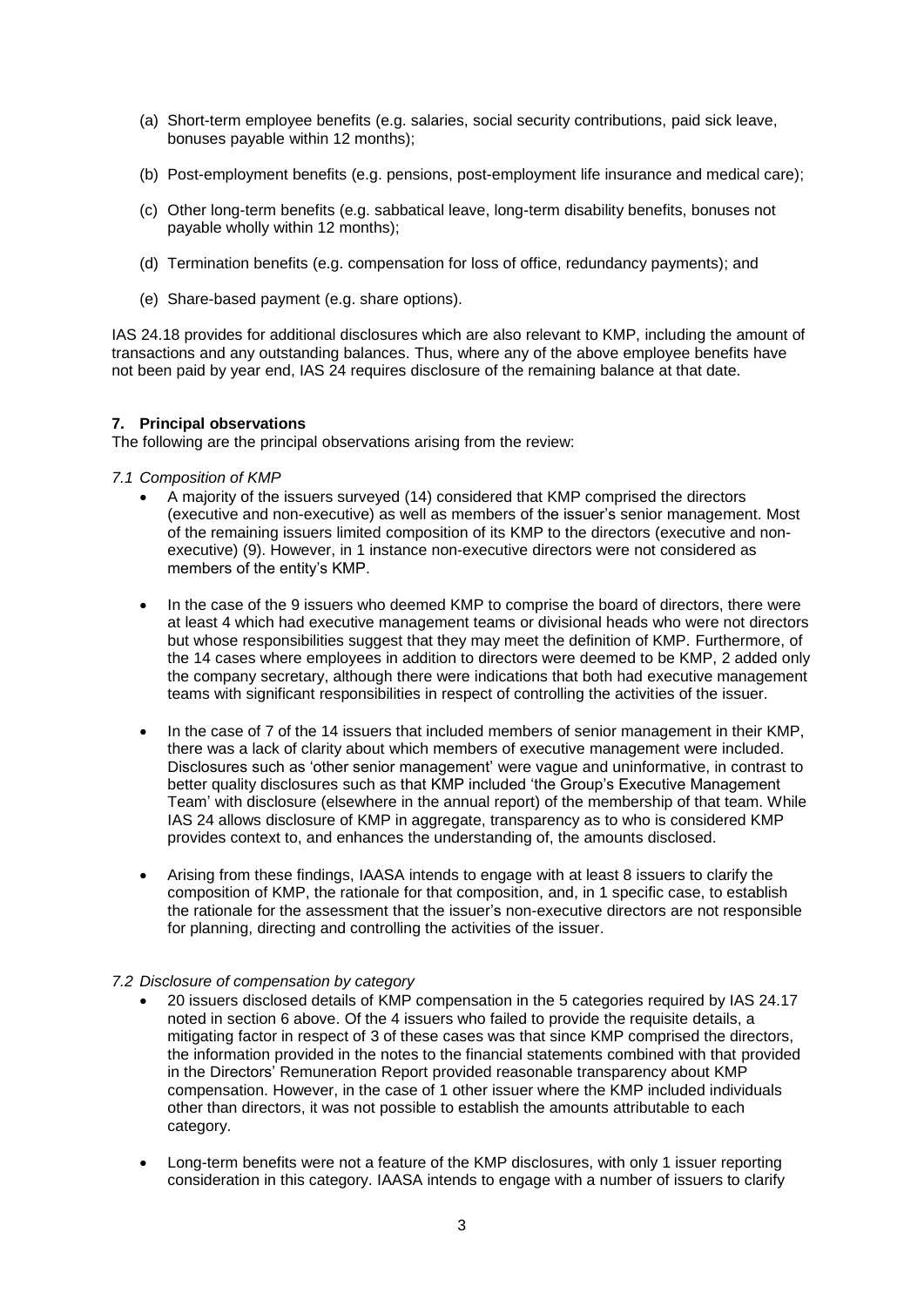- (a) Short-term employee benefits (e.g. salaries, social security contributions, paid sick leave, bonuses payable within 12 months);
- (b) Post-employment benefits (e.g. pensions, post-employment life insurance and medical care);
- (c) Other long-term benefits (e.g. sabbatical leave, long-term disability benefits, bonuses not payable wholly within 12 months);
- (d) Termination benefits (e.g. compensation for loss of office, redundancy payments); and
- (e) Share-based payment (e.g. share options).

IAS 24.18 provides for additional disclosures which are also relevant to KMP, including the amount of transactions and any outstanding balances. Thus, where any of the above employee benefits have not been paid by year end, IAS 24 requires disclosure of the remaining balance at that date.

# **7. Principal observations**

The following are the principal observations arising from the review:

## *7.1 Composition of KMP*

- A majority of the issuers surveyed (14) considered that KMP comprised the directors (executive and non-executive) as well as members of the issuer's senior management. Most of the remaining issuers limited composition of its KMP to the directors (executive and nonexecutive) (9). However, in 1 instance non-executive directors were not considered as members of the entity's KMP.
- In the case of the 9 issuers who deemed KMP to comprise the board of directors, there were at least 4 which had executive management teams or divisional heads who were not directors but whose responsibilities suggest that they may meet the definition of KMP. Furthermore, of the 14 cases where employees in addition to directors were deemed to be KMP, 2 added only the company secretary, although there were indications that both had executive management teams with significant responsibilities in respect of controlling the activities of the issuer.
- In the case of 7 of the 14 issuers that included members of senior management in their KMP, there was a lack of clarity about which members of executive management were included. Disclosures such as 'other senior management' were vague and uninformative, in contrast to better quality disclosures such as that KMP included 'the Group's Executive Management Team' with disclosure (elsewhere in the annual report) of the membership of that team. While IAS 24 allows disclosure of KMP in aggregate, transparency as to who is considered KMP provides context to, and enhances the understanding of, the amounts disclosed.
- Arising from these findings, IAASA intends to engage with at least 8 issuers to clarify the composition of KMP, the rationale for that composition, and, in 1 specific case, to establish the rationale for the assessment that the issuer's non-executive directors are not responsible for planning, directing and controlling the activities of the issuer.

#### *7.2 Disclosure of compensation by category*

- 20 issuers disclosed details of KMP compensation in the 5 categories required by IAS 24.17 noted in section 6 above. Of the 4 issuers who failed to provide the requisite details, a mitigating factor in respect of 3 of these cases was that since KMP comprised the directors, the information provided in the notes to the financial statements combined with that provided in the Directors' Remuneration Report provided reasonable transparency about KMP compensation. However, in the case of 1 other issuer where the KMP included individuals other than directors, it was not possible to establish the amounts attributable to each category.
- Long-term benefits were not a feature of the KMP disclosures, with only 1 issuer reporting consideration in this category. IAASA intends to engage with a number of issuers to clarify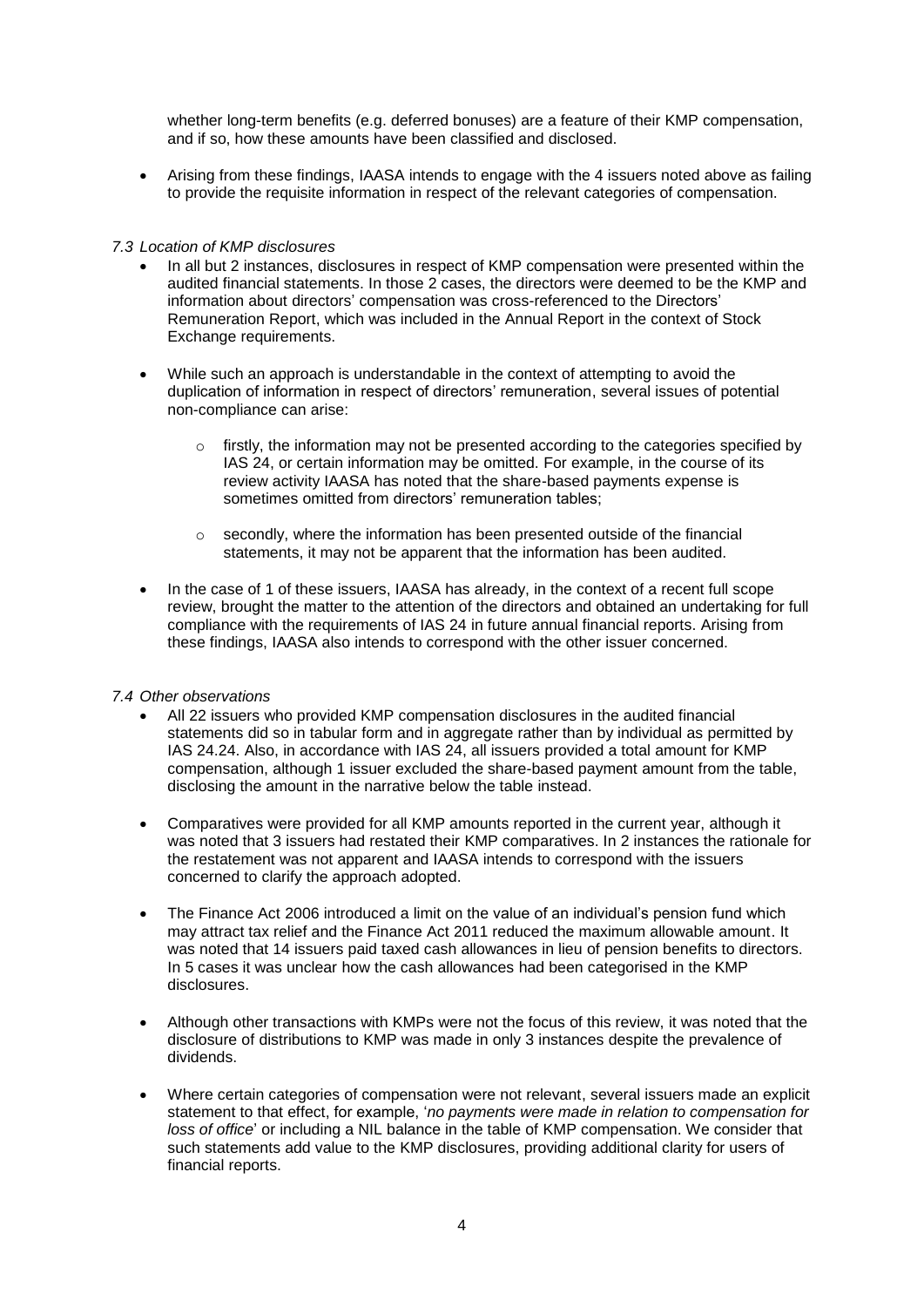whether long-term benefits (e.g. deferred bonuses) are a feature of their KMP compensation, and if so, how these amounts have been classified and disclosed.

 Arising from these findings, IAASA intends to engage with the 4 issuers noted above as failing to provide the requisite information in respect of the relevant categories of compensation.

### *7.3 Location of KMP disclosures*

- In all but 2 instances, disclosures in respect of KMP compensation were presented within the audited financial statements. In those 2 cases, the directors were deemed to be the KMP and information about directors' compensation was cross-referenced to the Directors' Remuneration Report, which was included in the Annual Report in the context of Stock Exchange requirements.
- While such an approach is understandable in the context of attempting to avoid the duplication of information in respect of directors' remuneration, several issues of potential non-compliance can arise:
	- $\circ$  firstly, the information may not be presented according to the categories specified by IAS 24, or certain information may be omitted. For example, in the course of its review activity IAASA has noted that the share-based payments expense is sometimes omitted from directors' remuneration tables;
	- o secondly, where the information has been presented outside of the financial statements, it may not be apparent that the information has been audited.
- In the case of 1 of these issuers, IAASA has already, in the context of a recent full scope review, brought the matter to the attention of the directors and obtained an undertaking for full compliance with the requirements of IAS 24 in future annual financial reports. Arising from these findings, IAASA also intends to correspond with the other issuer concerned.

#### *7.4 Other observations*

- All 22 issuers who provided KMP compensation disclosures in the audited financial statements did so in tabular form and in aggregate rather than by individual as permitted by IAS 24.24. Also, in accordance with IAS 24, all issuers provided a total amount for KMP compensation, although 1 issuer excluded the share-based payment amount from the table, disclosing the amount in the narrative below the table instead.
- Comparatives were provided for all KMP amounts reported in the current year, although it was noted that 3 issuers had restated their KMP comparatives. In 2 instances the rationale for the restatement was not apparent and IAASA intends to correspond with the issuers concerned to clarify the approach adopted.
- The Finance Act 2006 introduced a limit on the value of an individual's pension fund which may attract tax relief and the Finance Act 2011 reduced the maximum allowable amount. It was noted that 14 issuers paid taxed cash allowances in lieu of pension benefits to directors. In 5 cases it was unclear how the cash allowances had been categorised in the KMP disclosures.
- Although other transactions with KMPs were not the focus of this review, it was noted that the disclosure of distributions to KMP was made in only 3 instances despite the prevalence of dividends.
- Where certain categories of compensation were not relevant, several issuers made an explicit statement to that effect, for example, '*no payments were made in relation to compensation for loss of office*' or including a NIL balance in the table of KMP compensation. We consider that such statements add value to the KMP disclosures, providing additional clarity for users of financial reports.